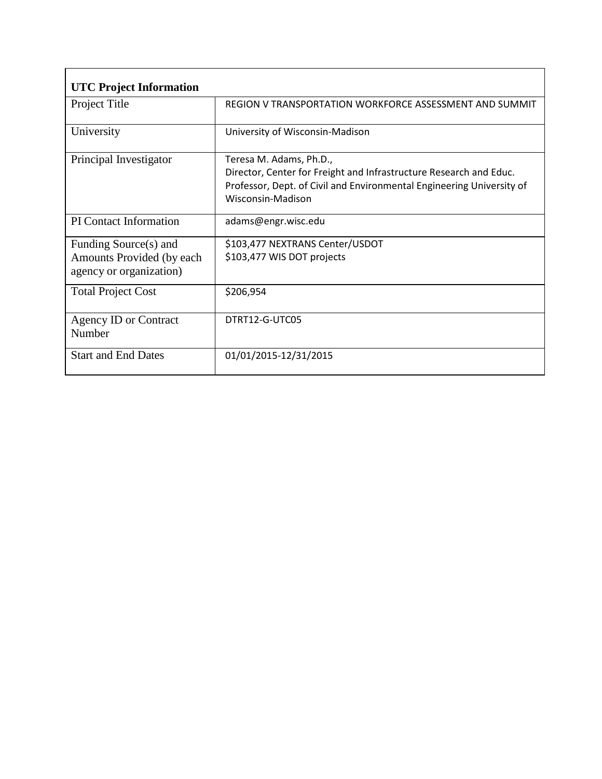| <b>UTC Project Information</b>                                                 |                                                                                                                                                                                             |
|--------------------------------------------------------------------------------|---------------------------------------------------------------------------------------------------------------------------------------------------------------------------------------------|
| Project Title                                                                  | REGION V TRANSPORTATION WORKFORCE ASSESSMENT AND SUMMIT                                                                                                                                     |
| University                                                                     | University of Wisconsin-Madison                                                                                                                                                             |
| Principal Investigator                                                         | Teresa M. Adams, Ph.D.,<br>Director, Center for Freight and Infrastructure Research and Educ.<br>Professor, Dept. of Civil and Environmental Engineering University of<br>Wisconsin-Madison |
| <b>PI</b> Contact Information                                                  | adams@engr.wisc.edu                                                                                                                                                                         |
| Funding Source(s) and<br>Amounts Provided (by each)<br>agency or organization) | \$103,477 NEXTRANS Center/USDOT<br>\$103,477 WIS DOT projects                                                                                                                               |
| <b>Total Project Cost</b>                                                      | \$206,954                                                                                                                                                                                   |
| Agency ID or Contract<br>Number                                                | DTRT12-G-UTC05                                                                                                                                                                              |
| <b>Start and End Dates</b>                                                     | 01/01/2015-12/31/2015                                                                                                                                                                       |

r